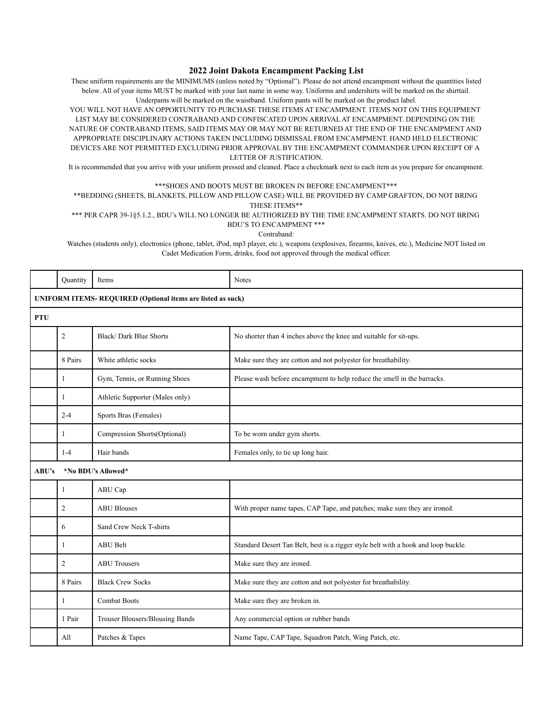## **2022 Joint Dakota Encampment Packing List**

These uniform requirements are the MINIMUMS (unless noted by "Optional"). Please do not attend encampment without the quantities listed below. All of your items MUST be marked with your last name in some way. Uniforms and undershirts will be marked on the shirttail. Underpants will be marked on the waistband. Uniform pants will be marked on the product label.

YOU WILL NOT HAVE AN OPPORTUNITY TO PURCHASE THESE ITEMS AT ENCAMPMENT. ITEMS NOT ON THIS EQUIPMENT LIST MAY BE CONSIDERED CONTRABAND AND CONFISCATED UPON ARRIVAL AT ENCAMPMENT. DEPENDING ON THE NATURE OF CONTRABAND ITEMS, SAID ITEMS MAY OR MAY NOT BE RETURNED AT THE END OF THE ENCAMPMENT AND APPROPRIATE DISCIPLINARY ACTIONS TAKEN INCLUDING DISMISSAL FROM ENCAMPMENT. HAND HELD ELECTRONIC DEVICES ARE NOT PERMITTED EXCLUDING PRIOR APPROVAL BY THE ENCAMPMENT COMMANDER UPON RECEIPT OF A LETTER OF JUSTIFICATION.

It is recommended that you arrive with your uniform pressed and cleaned. Place a checkmark next to each item as you prepare for encampment.

## \*\*\*SHOES AND BOOTS MUST BE BROKEN IN BEFORE ENCAMPMENT\*\*\*

\*\*BEDDING (SHEETS, BLANKETS, PILLOW AND PILLOW CASE) WILL BE PROVIDED BY CAMP GRAFTON, DO NOT BRING THESE ITEMS\*\*

\*\*\* PER CAPR 39-1§5.1.2., BDU's WILL NO LONGER BE AUTHORIZED BY THE TIME ENCAMPMENT STARTS. DO NOT BRING BDU'S TO ENCAMPMENT \*\*\*

Contraband:

Watches (students only), electronics (phone, tablet, iPod, mp3 player, etc.), weapons (explosives, firearms, knives, etc.), Medicine NOT listed on Cadet Medication Form, drinks, food not approved through the medical officer.

|                                                            | Quantity           | Items                           | <b>Notes</b>                                                                       |  |  |  |
|------------------------------------------------------------|--------------------|---------------------------------|------------------------------------------------------------------------------------|--|--|--|
| UNIFORM ITEMS-REQUIRED (Optional items are listed as suck) |                    |                                 |                                                                                    |  |  |  |
| <b>PTU</b>                                                 |                    |                                 |                                                                                    |  |  |  |
|                                                            | 2                  | Black/Dark Blue Shorts          | No shorter than 4 inches above the knee and suitable for sit-ups.                  |  |  |  |
|                                                            | 8 Pairs            | White athletic socks            | Make sure they are cotton and not polyester for breathability.                     |  |  |  |
|                                                            | 1                  | Gym, Tennis, or Running Shoes   | Please wash before encampment to help reduce the smell in the barracks.            |  |  |  |
|                                                            | 1                  | Athletic Supporter (Males only) |                                                                                    |  |  |  |
|                                                            | $2 - 4$            | Sports Bras (Females)           |                                                                                    |  |  |  |
|                                                            | 1                  | Compression Shorts(Optional)    | To be worn under gym shorts.                                                       |  |  |  |
|                                                            | $1 - 4$            | Hair bands                      | Females only, to tie up long hair.                                                 |  |  |  |
| ABU's                                                      | *No BDU's Allowed* |                                 |                                                                                    |  |  |  |
|                                                            | 1                  | ABU Cap                         |                                                                                    |  |  |  |
|                                                            | $\overline{c}$     | <b>ABU Blouses</b>              | With proper name tapes, CAP Tape, and patches; make sure they are ironed.          |  |  |  |
|                                                            | 6                  | Sand Crew Neck T-shirts         |                                                                                    |  |  |  |
|                                                            | 1                  | <b>ABU Belt</b>                 | Standard Desert Tan Belt, best is a rigger style belt with a hook and loop buckle. |  |  |  |
|                                                            | 2                  | <b>ABU Trousers</b>             | Make sure they are ironed.                                                         |  |  |  |
|                                                            | 8 Pairs            | <b>Black Crew Socks</b>         | Make sure they are cotton and not polyester for breathability.                     |  |  |  |
|                                                            | 1                  | <b>Combat Boots</b>             | Make sure they are broken in.                                                      |  |  |  |
|                                                            | 1 Pair             | Trouser Blousers/Blousing Bands | Any commercial option or rubber bands                                              |  |  |  |
|                                                            | All                | Patches & Tapes                 | Name Tape, CAP Tape, Squadron Patch, Wing Patch, etc.                              |  |  |  |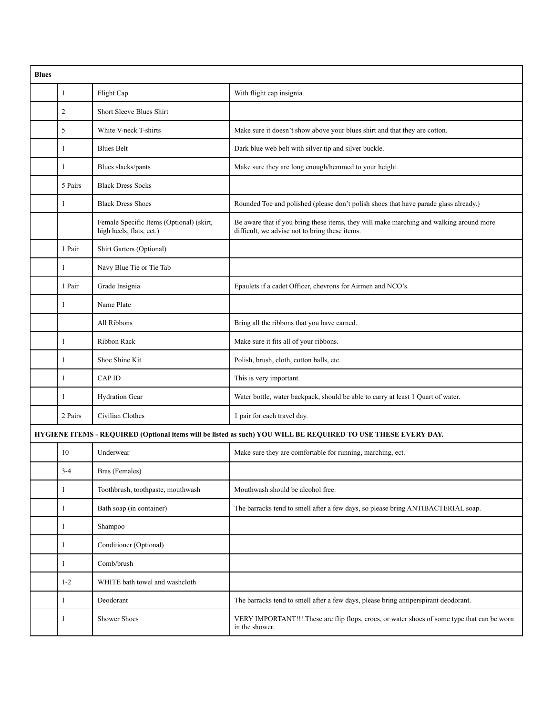| <b>Blues</b>                                                                                                  |                |                                                                      |                                                                                                                                           |  |  |
|---------------------------------------------------------------------------------------------------------------|----------------|----------------------------------------------------------------------|-------------------------------------------------------------------------------------------------------------------------------------------|--|--|
|                                                                                                               | $\mathbf{1}$   | Flight Cap                                                           | With flight cap insignia.                                                                                                                 |  |  |
|                                                                                                               | $\overline{2}$ | <b>Short Sleeve Blues Shirt</b>                                      |                                                                                                                                           |  |  |
|                                                                                                               | 5              | White V-neck T-shirts                                                | Make sure it doesn't show above your blues shirt and that they are cotton.                                                                |  |  |
|                                                                                                               | 1              | <b>Blues Belt</b>                                                    | Dark blue web belt with silver tip and silver buckle.                                                                                     |  |  |
|                                                                                                               | 1              | Blues slacks/pants                                                   | Make sure they are long enough/hemmed to your height.                                                                                     |  |  |
|                                                                                                               | 5 Pairs        | <b>Black Dress Socks</b>                                             |                                                                                                                                           |  |  |
|                                                                                                               | 1              | <b>Black Dress Shoes</b>                                             | Rounded Toe and polished (please don't polish shoes that have parade glass already.)                                                      |  |  |
|                                                                                                               |                | Female Specific Items (Optional) (skirt,<br>high heels, flats, ect.) | Be aware that if you bring these items, they will make marching and walking around more<br>difficult, we advise not to bring these items. |  |  |
|                                                                                                               | 1 Pair         | Shirt Garters (Optional)                                             |                                                                                                                                           |  |  |
|                                                                                                               | 1              | Navy Blue Tie or Tie Tab                                             |                                                                                                                                           |  |  |
|                                                                                                               | 1 Pair         | Grade Insignia                                                       | Epaulets if a cadet Officer, chevrons for Airmen and NCO's.                                                                               |  |  |
|                                                                                                               | 1              | Name Plate                                                           |                                                                                                                                           |  |  |
|                                                                                                               |                | All Ribbons                                                          | Bring all the ribbons that you have earned.                                                                                               |  |  |
|                                                                                                               | 1              | Ribbon Rack                                                          | Make sure it fits all of your ribbons.                                                                                                    |  |  |
|                                                                                                               | 1              | Shoe Shine Kit                                                       | Polish, brush, cloth, cotton balls, etc.                                                                                                  |  |  |
|                                                                                                               | 1              | <b>CAPID</b>                                                         | This is very important.                                                                                                                   |  |  |
|                                                                                                               | 1              | Hydration Gear                                                       | Water bottle, water backpack, should be able to carry at least 1 Quart of water.                                                          |  |  |
|                                                                                                               | 2 Pairs        | Civilian Clothes                                                     | 1 pair for each travel day.                                                                                                               |  |  |
| HYGIENE ITEMS - REQUIRED (Optional items will be listed as such) YOU WILL BE REQUIRED TO USE THESE EVERY DAY. |                |                                                                      |                                                                                                                                           |  |  |
|                                                                                                               | 10             | Underwear                                                            | Make sure they are comfortable for running, marching, ect.                                                                                |  |  |
|                                                                                                               | $3-4$          | Bras (Females)                                                       |                                                                                                                                           |  |  |
|                                                                                                               | 1              | Toothbrush, toothpaste, mouthwash                                    | Mouthwash should be alcohol free.                                                                                                         |  |  |
|                                                                                                               | 1              | Bath soap (in container)                                             | The barracks tend to smell after a few days, so please bring ANTIBACTERIAL soap.                                                          |  |  |
|                                                                                                               | 1              | Shampoo                                                              |                                                                                                                                           |  |  |
|                                                                                                               | 1              | Conditioner (Optional)                                               |                                                                                                                                           |  |  |
|                                                                                                               | 1              | Comb/brush                                                           |                                                                                                                                           |  |  |
|                                                                                                               | $1 - 2$        | WHITE bath towel and washcloth                                       |                                                                                                                                           |  |  |
|                                                                                                               | 1              | Deodorant                                                            | The barracks tend to smell after a few days, please bring antiperspirant deodorant.                                                       |  |  |
|                                                                                                               | 1              | Shower Shoes                                                         | VERY IMPORTANT!!! These are flip flops, crocs, or water shoes of some type that can be worn<br>in the shower.                             |  |  |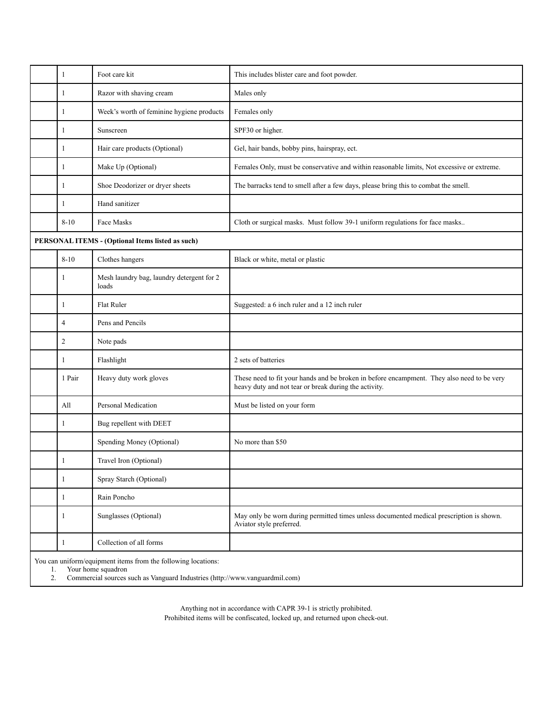|                                                                                                                                                                                | 1              | Foot care kit                                      | This includes blister care and foot powder.                                                                                                         |  |
|--------------------------------------------------------------------------------------------------------------------------------------------------------------------------------|----------------|----------------------------------------------------|-----------------------------------------------------------------------------------------------------------------------------------------------------|--|
|                                                                                                                                                                                | 1              | Razor with shaving cream                           | Males only                                                                                                                                          |  |
|                                                                                                                                                                                | 1              | Week's worth of feminine hygiene products          | Females only                                                                                                                                        |  |
|                                                                                                                                                                                | 1              | Sunscreen                                          | SPF30 or higher.                                                                                                                                    |  |
|                                                                                                                                                                                | 1              | Hair care products (Optional)                      | Gel, hair bands, bobby pins, hairspray, ect.                                                                                                        |  |
|                                                                                                                                                                                | 1              | Make Up (Optional)                                 | Females Only, must be conservative and within reasonable limits, Not excessive or extreme.                                                          |  |
|                                                                                                                                                                                | 1              | Shoe Deodorizer or dryer sheets                    | The barracks tend to smell after a few days, please bring this to combat the smell.                                                                 |  |
|                                                                                                                                                                                | 1              | Hand sanitizer                                     |                                                                                                                                                     |  |
|                                                                                                                                                                                | $8 - 10$       | Face Masks                                         | Cloth or surgical masks. Must follow 39-1 uniform regulations for face masks                                                                        |  |
| PERSONAL ITEMS - (Optional Items listed as such)                                                                                                                               |                |                                                    |                                                                                                                                                     |  |
|                                                                                                                                                                                | $8 - 10$       | Clothes hangers                                    | Black or white, metal or plastic                                                                                                                    |  |
|                                                                                                                                                                                | 1              | Mesh laundry bag, laundry detergent for 2<br>loads |                                                                                                                                                     |  |
|                                                                                                                                                                                | 1              | Flat Ruler                                         | Suggested: a 6 inch ruler and a 12 inch ruler                                                                                                       |  |
|                                                                                                                                                                                | $\overline{4}$ | Pens and Pencils                                   |                                                                                                                                                     |  |
|                                                                                                                                                                                | $\overline{c}$ | Note pads                                          |                                                                                                                                                     |  |
|                                                                                                                                                                                | 1              | Flashlight                                         | 2 sets of batteries                                                                                                                                 |  |
|                                                                                                                                                                                | 1 Pair         | Heavy duty work gloves                             | These need to fit your hands and be broken in before encampment. They also need to be very<br>heavy duty and not tear or break during the activity. |  |
|                                                                                                                                                                                | All            | Personal Medication                                | Must be listed on your form                                                                                                                         |  |
|                                                                                                                                                                                | 1              | Bug repellent with DEET                            |                                                                                                                                                     |  |
|                                                                                                                                                                                |                | Spending Money (Optional)                          | No more than \$50                                                                                                                                   |  |
|                                                                                                                                                                                | 1              | Travel Iron (Optional)                             |                                                                                                                                                     |  |
|                                                                                                                                                                                | 1              | Spray Starch (Optional)                            |                                                                                                                                                     |  |
|                                                                                                                                                                                | 1              | Rain Poncho                                        |                                                                                                                                                     |  |
|                                                                                                                                                                                | 1              | Sunglasses (Optional)                              | May only be worn during permitted times unless documented medical prescription is shown.<br>Aviator style preferred.                                |  |
|                                                                                                                                                                                | 1              | Collection of all forms                            |                                                                                                                                                     |  |
| You can uniform/equipment items from the following locations:<br>Your home squadron<br>1.<br>Commercial sources such as Vanguard Industries (http://www.vanguardmil.com)<br>2. |                |                                                    |                                                                                                                                                     |  |

Anything not in accordance with CAPR 39-1 is strictly prohibited. Prohibited items will be confiscated, locked up, and returned upon check-out.